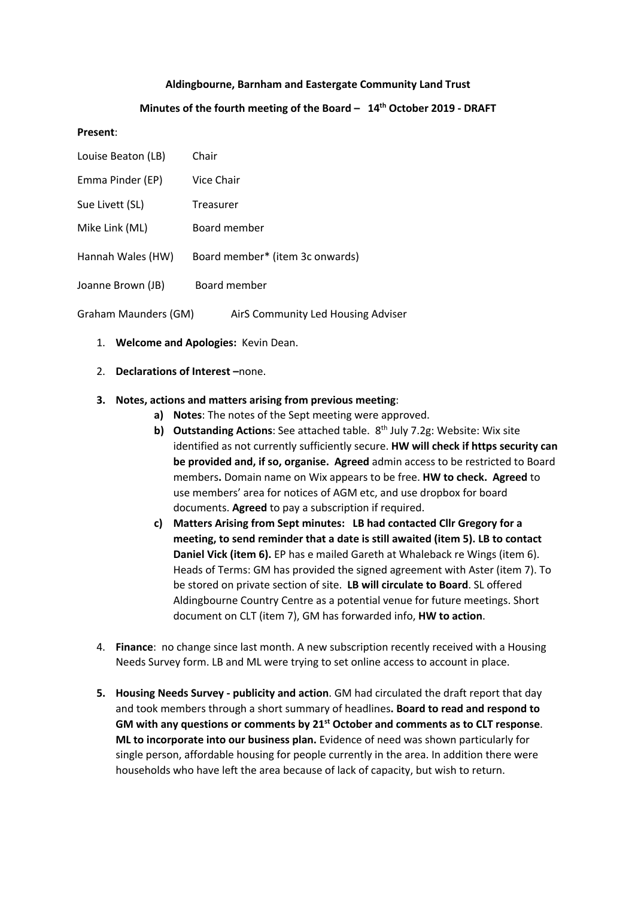### **Aldingbourne, Barnham and Eastergate Community Land Trust**

### **Minutes of the fourth meeting of the Board – 14th October 2019 - DRAFT**

#### **Present**:

| Louise Beaton (LB)   | Chair                              |
|----------------------|------------------------------------|
| Emma Pinder (EP)     | Vice Chair                         |
| Sue Livett (SL)      | Treasurer                          |
| Mike Link (ML)       | Board member                       |
| Hannah Wales (HW)    | Board member* (item 3c onwards)    |
| Joanne Brown (JB)    | Board member                       |
| Graham Maunders (GM) | AirS Community Led Housing Adviser |

- 1. **Welcome and Apologies:** Kevin Dean.
- 2. **Declarations of Interest –**none.

#### **3. Notes, actions and matters arising from previous meeting**:

- **a) Notes**: The notes of the Sept meeting were approved.
- **b)** Outstanding Actions: See attached table. 8<sup>th</sup> July 7.2g: Website: Wix site identified as not currently sufficiently secure. **HW will check if https security can be provided and, if so, organise. Agreed** admin access to be restricted to Board members**.** Domain name on Wix appears to be free. **HW to check. Agreed** to use members' area for notices of AGM etc, and use dropbox for board documents. **Agreed** to pay a subscription if required.
- **c) Matters Arising from Sept minutes: LB had contacted Cllr Gregory for a meeting, to send reminder that a date is still awaited (item 5). LB to contact Daniel Vick (item 6).** EP has e mailed Gareth at Whaleback re Wings (item 6). Heads of Terms: GM has provided the signed agreement with Aster (item 7). To be stored on private section of site. **LB will circulate to Board**. SL offered Aldingbourne Country Centre as a potential venue for future meetings. Short document on CLT (item 7), GM has forwarded info, **HW to action**.
- 4. **Finance**: no change since last month. A new subscription recently received with a Housing Needs Survey form. LB and ML were trying to set online access to account in place.
- **5. Housing Needs Survey - publicity and action**. GM had circulated the draft report that day and took members through a short summary of headlines**. Board to read and respond to GM with any questions or comments by 21st October and comments as to CLT response**. **ML to incorporate into our business plan.** Evidence of need was shown particularly for single person, affordable housing for people currently in the area. In addition there were households who have left the area because of lack of capacity, but wish to return.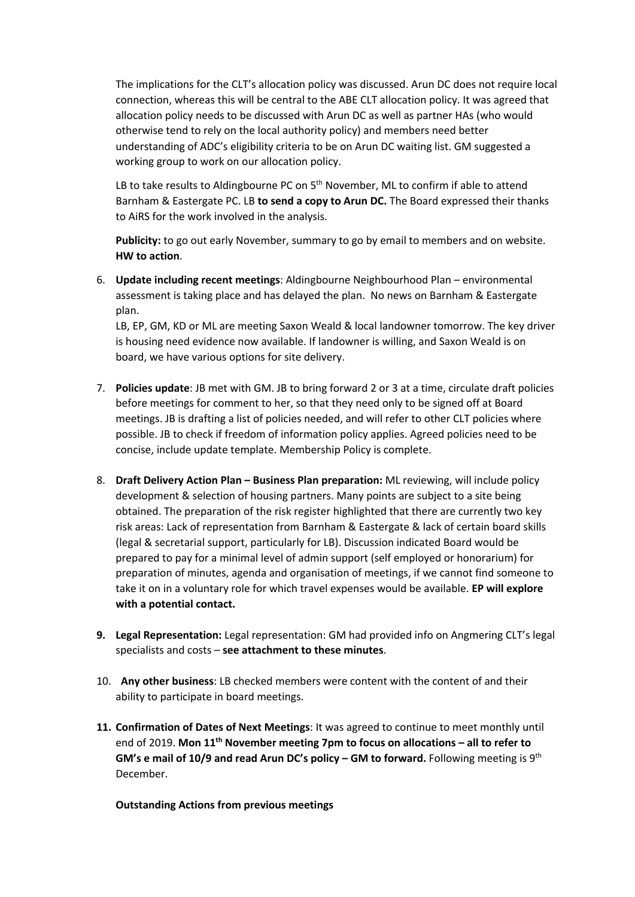The implications for the CLT's allocation policy was discussed. Arun DC does not require local connection, whereas this will be central to the ABE CLT allocation policy. It was agreed that allocation policy needs to be discussed with Arun DC as well as partner HAs (who would otherwise tend to rely on the local authority policy) and members need better understanding of ADC's eligibility criteria to be on Arun DC waiting list. GM suggested a working group to work on our allocation policy.

LB to take results to Aldingbourne PC on  $5<sup>th</sup>$  November, ML to confirm if able to attend Barnham & Eastergate PC. LB **to send a copy to Arun DC.** The Board expressed their thanks to AiRS for the work involved in the analysis.

**Publicity:** to go out early November, summary to go by email to members and on website. **HW to action**.

6. **Update including recent meetings**: Aldingbourne Neighbourhood Plan – environmental assessment is taking place and has delayed the plan. No news on Barnham & Eastergate plan.

LB, EP, GM, KD or ML are meeting Saxon Weald & local landowner tomorrow. The key driver is housing need evidence now available. If landowner is willing, and Saxon Weald is on board, we have various options for site delivery.

- 7. **Policies update**: JB met with GM. JB to bring forward 2 or 3 at a time, circulate draft policies before meetings for comment to her, so that they need only to be signed off at Board meetings. JB is drafting a list of policies needed, and will refer to other CLT policies where possible. JB to check if freedom of information policy applies. Agreed policies need to be concise, include update template. Membership Policy is complete.
- 8. **Draft Delivery Action Plan – Business Plan preparation:** ML reviewing, will include policy development & selection of housing partners. Many points are subject to a site being obtained. The preparation of the risk register highlighted that there are currently two key risk areas: Lack of representation from Barnham & Eastergate & lack of certain board skills (legal & secretarial support, particularly for LB). Discussion indicated Board would be prepared to pay for a minimal level of admin support (self employed or honorarium) for preparation of minutes, agenda and organisation of meetings, if we cannot find someone to take it on in a voluntary role for which travel expenses would be available. **EP will explore with a potential contact.**
- **9. Legal Representation:** Legal representation: GM had provided info on Angmering CLT's legal specialists and costs – **see attachment to these minutes**.
- 10. **Any other business**: LB checked members were content with the content of and their ability to participate in board meetings.
- **11. Confirmation of Dates of Next Meetings**: It was agreed to continue to meet monthly until end of 2019. **Mon 11th November meeting 7pm to focus on allocations – all to refer to GM's e mail of 10/9 and read Arun DC's policy – GM to forward.** Following meeting is 9th December.

**Outstanding Actions from previous meetings**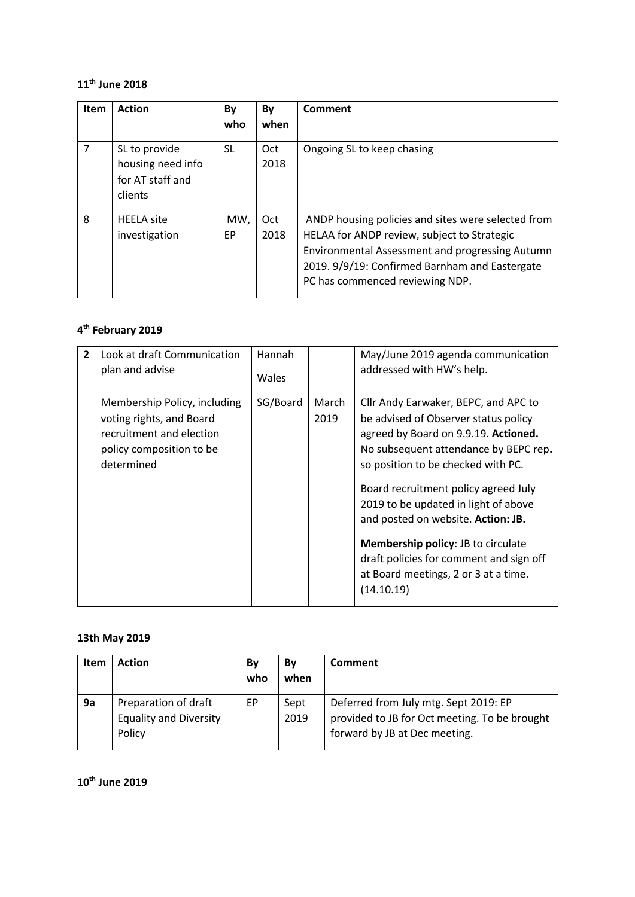### **11th June 2018**

| Item           | <b>Action</b>                                                     | By<br>who  | By<br>when  | Comment                                                                                                                                                                                                                                   |
|----------------|-------------------------------------------------------------------|------------|-------------|-------------------------------------------------------------------------------------------------------------------------------------------------------------------------------------------------------------------------------------------|
| $\overline{7}$ | SL to provide<br>housing need info<br>for AT staff and<br>clients | SL.        | Oct<br>2018 | Ongoing SL to keep chasing                                                                                                                                                                                                                |
| 8              | <b>HEELA</b> site<br>investigation                                | MW,<br>EP. | Oct<br>2018 | ANDP housing policies and sites were selected from<br>HELAA for ANDP review, subject to Strategic<br>Environmental Assessment and progressing Autumn<br>2019. 9/9/19: Confirmed Barnham and Eastergate<br>PC has commenced reviewing NDP. |

# **4th February 2019**

| $\overline{2}$ | Look at draft Communication<br>plan and advise                                                                                 | Hannah<br>Wales |               | May/June 2019 agenda communication<br>addressed with HW's help.                                                                                                                                                                                                                                                                                                                                                                                                         |
|----------------|--------------------------------------------------------------------------------------------------------------------------------|-----------------|---------------|-------------------------------------------------------------------------------------------------------------------------------------------------------------------------------------------------------------------------------------------------------------------------------------------------------------------------------------------------------------------------------------------------------------------------------------------------------------------------|
|                | Membership Policy, including<br>voting rights, and Board<br>recruitment and election<br>policy composition to be<br>determined | SG/Board        | March<br>2019 | Cllr Andy Earwaker, BEPC, and APC to<br>be advised of Observer status policy<br>agreed by Board on 9.9.19. Actioned.<br>No subsequent attendance by BEPC rep.<br>so position to be checked with PC.<br>Board recruitment policy agreed July<br>2019 to be updated in light of above<br>and posted on website. Action: JB.<br><b>Membership policy: JB to circulate</b><br>draft policies for comment and sign off<br>at Board meetings, 2 or 3 at a time.<br>(14.10.19) |

### **13th May 2019**

| Item | <b>Action</b>                                                   | Bv<br>who | Bv<br>when   | Comment                                                                                                                 |
|------|-----------------------------------------------------------------|-----------|--------------|-------------------------------------------------------------------------------------------------------------------------|
| 9a   | Preparation of draft<br><b>Equality and Diversity</b><br>Policy | EP        | Sept<br>2019 | Deferred from July mtg. Sept 2019: EP<br>provided to JB for Oct meeting. To be brought<br>forward by JB at Dec meeting. |

**10th June 2019**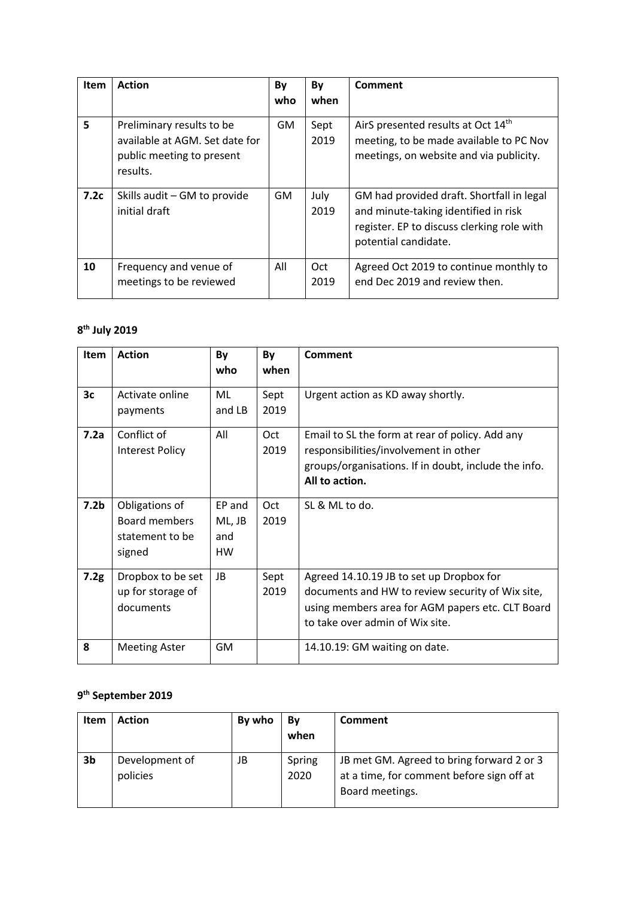| <b>Item</b> | <b>Action</b>                                                                                        | By<br>who | By<br>when   | Comment                                                                                                                                                 |
|-------------|------------------------------------------------------------------------------------------------------|-----------|--------------|---------------------------------------------------------------------------------------------------------------------------------------------------------|
| 5           | Preliminary results to be<br>available at AGM. Set date for<br>public meeting to present<br>results. | GM.       | Sept<br>2019 | AirS presented results at Oct 14th<br>meeting, to be made available to PC Nov<br>meetings, on website and via publicity.                                |
| 7.2c        | Skills audit - GM to provide<br>initial draft                                                        | <b>GM</b> | July<br>2019 | GM had provided draft. Shortfall in legal<br>and minute-taking identified in risk<br>register. EP to discuss clerking role with<br>potential candidate. |
| 10          | Frequency and venue of<br>meetings to be reviewed                                                    | All       | Oct<br>2019  | Agreed Oct 2019 to continue monthly to<br>end Dec 2019 and review then.                                                                                 |

## **8th July 2019**

| <b>Item</b>      | <b>Action</b>                                                | By<br>who                     | By<br>when   | <b>Comment</b>                                                                                                                                                                      |
|------------------|--------------------------------------------------------------|-------------------------------|--------------|-------------------------------------------------------------------------------------------------------------------------------------------------------------------------------------|
| 3 <sub>c</sub>   | Activate online<br>payments                                  | ML<br>and LB                  | Sept<br>2019 | Urgent action as KD away shortly.                                                                                                                                                   |
| 7.2a             | Conflict of<br><b>Interest Policy</b>                        | All                           | Oct<br>2019  | Email to SL the form at rear of policy. Add any<br>responsibilities/involvement in other<br>groups/organisations. If in doubt, include the info.<br>All to action.                  |
| 7.2 <sub>b</sub> | Obligations of<br>Board members<br>statement to be<br>signed | EP and<br>ML, JB<br>and<br>HW | Oct<br>2019  | SL & ML to do.                                                                                                                                                                      |
| 7.2g             | Dropbox to be set<br>up for storage of<br>documents          | JB                            | Sept<br>2019 | Agreed 14.10.19 JB to set up Dropbox for<br>documents and HW to review security of Wix site,<br>using members area for AGM papers etc. CLT Board<br>to take over admin of Wix site. |
| 8                | <b>Meeting Aster</b>                                         | GМ                            |              | 14.10.19: GM waiting on date.                                                                                                                                                       |

## **9th September 2019**

| Item | <b>Action</b>              | By who | Bv<br>when     | Comment                                                                                                   |
|------|----------------------------|--------|----------------|-----------------------------------------------------------------------------------------------------------|
| 3b   | Development of<br>policies | JB     | Spring<br>2020 | JB met GM. Agreed to bring forward 2 or 3<br>at a time, for comment before sign off at<br>Board meetings. |